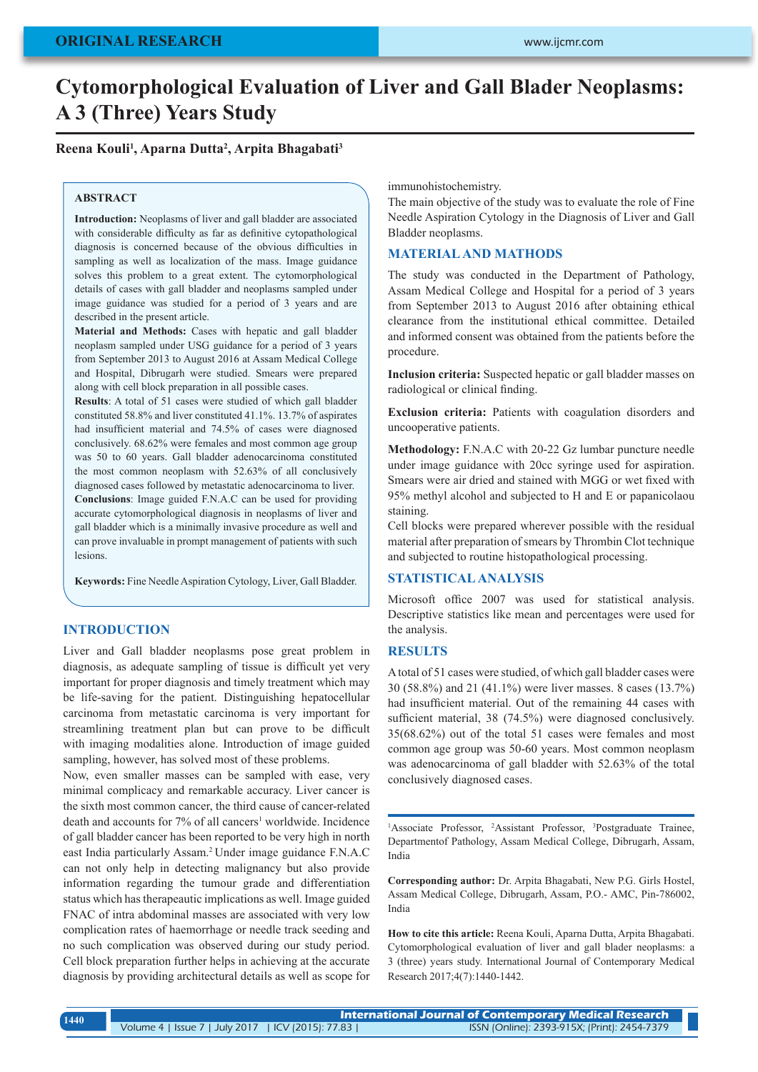# **Cytomorphological Evaluation of Liver and Gall Blader Neoplasms: A 3 (Three) Years Study**

# **Reena Kouli1 , Aparna Dutta2 , Arpita Bhagabati3**

### **ABSTRACT**

**Introduction:** Neoplasms of liver and gall bladder are associated with considerable difficulty as far as definitive cytopathological diagnosis is concerned because of the obvious difficulties in sampling as well as localization of the mass. Image guidance solves this problem to a great extent. The cytomorphological details of cases with gall bladder and neoplasms sampled under image guidance was studied for a period of 3 years and are described in the present article.

**Material and Methods:** Cases with hepatic and gall bladder neoplasm sampled under USG guidance for a period of 3 years from September 2013 to August 2016 at Assam Medical College and Hospital, Dibrugarh were studied. Smears were prepared along with cell block preparation in all possible cases.

**Results**: A total of 51 cases were studied of which gall bladder constituted 58.8% and liver constituted 41.1%. 13.7% of aspirates had insufficient material and 74.5% of cases were diagnosed conclusively. 68.62% were females and most common age group was 50 to 60 years. Gall bladder adenocarcinoma constituted the most common neoplasm with 52.63% of all conclusively diagnosed cases followed by metastatic adenocarcinoma to liver. **Conclusions**: Image guided F.N.A.C can be used for providing accurate cytomorphological diagnosis in neoplasms of liver and gall bladder which is a minimally invasive procedure as well and can prove invaluable in prompt management of patients with such lesions.

**Keywords:** Fine Needle Aspiration Cytology, Liver, Gall Bladder.

# **INTRODUCTION**

Liver and Gall bladder neoplasms pose great problem in diagnosis, as adequate sampling of tissue is difficult yet very important for proper diagnosis and timely treatment which may be life-saving for the patient. Distinguishing hepatocellular carcinoma from metastatic carcinoma is very important for streamlining treatment plan but can prove to be difficult with imaging modalities alone. Introduction of image guided sampling, however, has solved most of these problems.

Now, even smaller masses can be sampled with ease, very minimal complicacy and remarkable accuracy. Liver cancer is the sixth most common cancer, the third cause of cancer-related death and accounts for 7% of all cancers<sup>1</sup> worldwide. Incidence of gall bladder cancer has been reported to be very high in north east India particularly Assam.2 Under image guidance F.N.A.C can not only help in detecting malignancy but also provide information regarding the tumour grade and differentiation status which has therapeautic implications as well. Image guided FNAC of intra abdominal masses are associated with very low complication rates of haemorrhage or needle track seeding and no such complication was observed during our study period. Cell block preparation further helps in achieving at the accurate diagnosis by providing architectural details as well as scope for

immunohistochemistry.

The main objective of the study was to evaluate the role of Fine Needle Aspiration Cytology in the Diagnosis of Liver and Gall Bladder neoplasms.

# **MATERIAL AND MATHODS**

The study was conducted in the Department of Pathology, Assam Medical College and Hospital for a period of 3 years from September 2013 to August 2016 after obtaining ethical clearance from the institutional ethical committee. Detailed and informed consent was obtained from the patients before the procedure.

**Inclusion criteria:** Suspected hepatic or gall bladder masses on radiological or clinical finding.

**Exclusion criteria:** Patients with coagulation disorders and uncooperative patients.

**Methodology:** F.N.A.C with 20-22 Gz lumbar puncture needle under image guidance with 20cc syringe used for aspiration. Smears were air dried and stained with MGG or wet fixed with 95% methyl alcohol and subjected to H and E or papanicolaou staining.

Cell blocks were prepared wherever possible with the residual material after preparation of smears by Thrombin Clot technique and subjected to routine histopathological processing.

# **STATISTICAL ANALYSIS**

Microsoft office 2007 was used for statistical analysis. Descriptive statistics like mean and percentages were used for the analysis.

# **RESULTS**

A total of 51 cases were studied, of which gall bladder cases were 30 (58.8%) and 21 (41.1%) were liver masses. 8 cases (13.7%) had insufficient material. Out of the remaining 44 cases with sufficient material, 38 (74.5%) were diagnosed conclusively. 35(68.62%) out of the total 51 cases were females and most common age group was 50-60 years. Most common neoplasm was adenocarcinoma of gall bladder with 52.63% of the total conclusively diagnosed cases.

<sup>1</sup>Associate Professor, <sup>2</sup>Assistant Professor, <sup>3</sup>Postgraduate Trainee, Departmentof Pathology, Assam Medical College, Dibrugarh, Assam, India

**Corresponding author:** Dr. Arpita Bhagabati, New P.G. Girls Hostel, Assam Medical College, Dibrugarh, Assam, P.O.- AMC, Pin-786002, India

**How to cite this article:** Reena Kouli, Aparna Dutta, Arpita Bhagabati. Cytomorphological evaluation of liver and gall blader neoplasms: a 3 (three) years study. International Journal of Contemporary Medical Research 2017;4(7):1440-1442.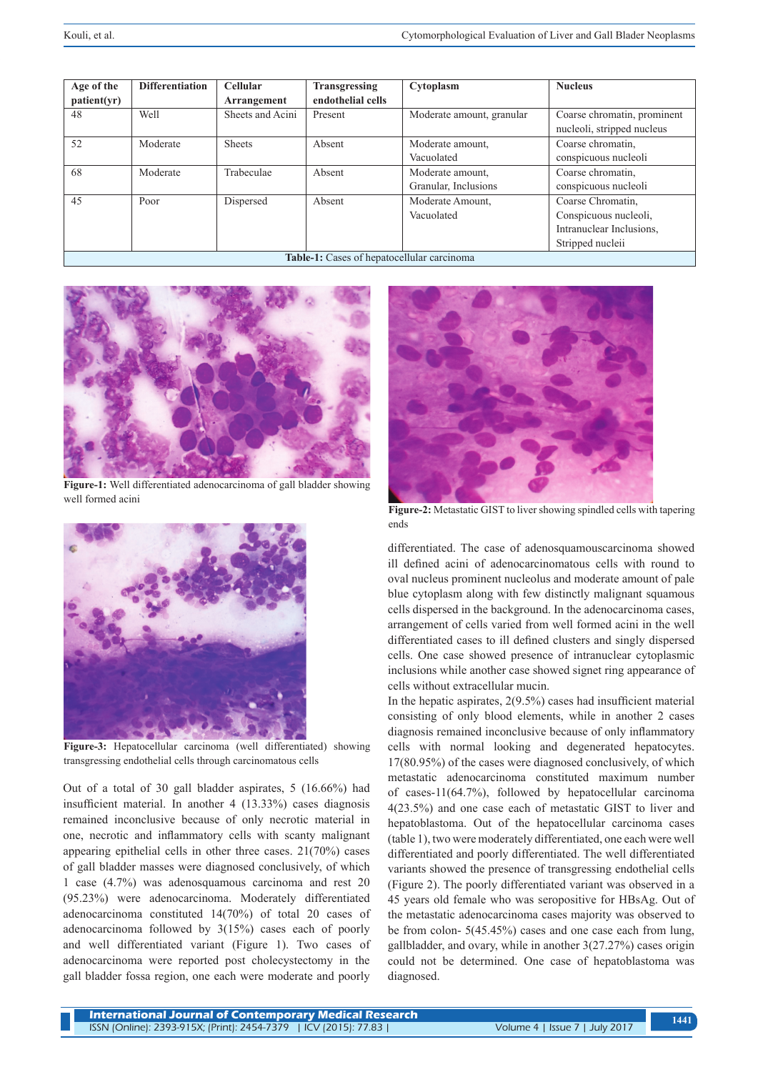| Age of the                                        | <b>Differentiation</b> | <b>Cellular</b>  | <b>Transgressing</b> | Cytoplasm                 | <b>Nucleus</b>              |
|---------------------------------------------------|------------------------|------------------|----------------------|---------------------------|-----------------------------|
| patient(yr)                                       |                        | Arrangement      | endothelial cells    |                           |                             |
| 48                                                | Well                   | Sheets and Acini | Present              | Moderate amount, granular | Coarse chromatin, prominent |
|                                                   |                        |                  |                      |                           | nucleoli, stripped nucleus  |
| 52                                                | Moderate               | <b>Sheets</b>    | Absent               | Moderate amount,          | Coarse chromatin,           |
|                                                   |                        |                  |                      | Vacuolated                | conspicuous nucleoli        |
| 68                                                | Moderate               | Trabeculae       | Absent               | Moderate amount,          | Coarse chromatin,           |
|                                                   |                        |                  |                      | Granular, Inclusions      | conspicuous nucleoli        |
| 45                                                | Poor                   | Dispersed        | Absent               | Moderate Amount,          | Coarse Chromatin,           |
|                                                   |                        |                  |                      | Vacuolated                | Conspicuous nucleoli,       |
|                                                   |                        |                  |                      |                           | Intranuclear Inclusions.    |
|                                                   |                        |                  |                      |                           | Stripped nucleii            |
| <b>Table-1:</b> Cases of hepatocellular carcinoma |                        |                  |                      |                           |                             |



**Figure-1:** Well differentiated adenocarcinoma of gall bladder showing well formed acini



**Figure-3:** Hepatocellular carcinoma (well differentiated) showing transgressing endothelial cells through carcinomatous cells

Out of a total of 30 gall bladder aspirates, 5 (16.66%) had insufficient material. In another 4 (13.33%) cases diagnosis remained inconclusive because of only necrotic material in one, necrotic and inflammatory cells with scanty malignant appearing epithelial cells in other three cases. 21(70%) cases of gall bladder masses were diagnosed conclusively, of which 1 case (4.7%) was adenosquamous carcinoma and rest 20 (95.23%) were adenocarcinoma. Moderately differentiated adenocarcinoma constituted 14(70%) of total 20 cases of adenocarcinoma followed by 3(15%) cases each of poorly and well differentiated variant (Figure 1). Two cases of adenocarcinoma were reported post cholecystectomy in the gall bladder fossa region, one each were moderate and poorly



**Figure-2:** Metastatic GIST to liver showing spindled cells with tapering ends

differentiated. The case of adenosquamouscarcinoma showed ill defined acini of adenocarcinomatous cells with round to oval nucleus prominent nucleolus and moderate amount of pale blue cytoplasm along with few distinctly malignant squamous cells dispersed in the background. In the adenocarcinoma cases, arrangement of cells varied from well formed acini in the well differentiated cases to ill defined clusters and singly dispersed cells. One case showed presence of intranuclear cytoplasmic inclusions while another case showed signet ring appearance of cells without extracellular mucin.

In the hepatic aspirates, 2(9.5%) cases had insufficient material consisting of only blood elements, while in another 2 cases diagnosis remained inconclusive because of only inflammatory cells with normal looking and degenerated hepatocytes. 17(80.95%) of the cases were diagnosed conclusively, of which metastatic adenocarcinoma constituted maximum number of cases-11(64.7%), followed by hepatocellular carcinoma 4(23.5%) and one case each of metastatic GIST to liver and hepatoblastoma. Out of the hepatocellular carcinoma cases (table 1), two were moderately differentiated, one each were well differentiated and poorly differentiated. The well differentiated variants showed the presence of transgressing endothelial cells (Figure 2). The poorly differentiated variant was observed in a 45 years old female who was seropositive for HBsAg. Out of the metastatic adenocarcinoma cases majority was observed to be from colon- 5(45.45%) cases and one case each from lung, gallbladder, and ovary, while in another 3(27.27%) cases origin could not be determined. One case of hepatoblastoma was diagnosed.